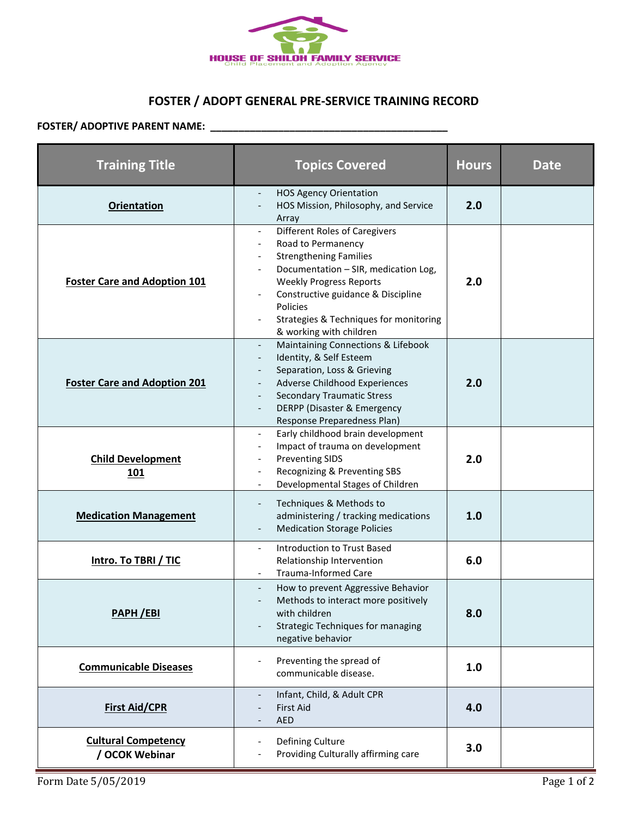

## **FOSTER / ADOPT GENERAL PRE-SERVICE TRAINING RECORD**

## **FOSTER/ ADOPTIVE PARENT NAME: \_\_\_\_\_\_\_\_\_\_\_\_\_\_\_\_\_\_\_\_\_\_\_\_\_\_\_\_\_\_\_\_\_\_\_\_\_\_\_\_\_\_**

| <b>Training Title</b>                        | <b>Topics Covered</b>                                                                                                                                                                                                                                                                        | <b>Hours</b> | Date        |
|----------------------------------------------|----------------------------------------------------------------------------------------------------------------------------------------------------------------------------------------------------------------------------------------------------------------------------------------------|--------------|-------------|
| <b>Orientation</b>                           | <b>HOS Agency Orientation</b><br>HOS Mission, Philosophy, and Service<br>Array                                                                                                                                                                                                               | 2.0          |             |
| <b>Foster Care and Adoption 101</b>          | <b>Different Roles of Caregivers</b><br>Road to Permanency<br><b>Strengthening Families</b><br>Documentation - SIR, medication Log,<br><b>Weekly Progress Reports</b><br>Constructive guidance & Discipline<br>Policies<br>Strategies & Techniques for monitoring<br>& working with children | 2.0          |             |
| <b>Foster Care and Adoption 201</b>          | Maintaining Connections & Lifebook<br>$\overline{\phantom{a}}$<br>Identity, & Self Esteem<br>$\overline{\phantom{a}}$<br>Separation, Loss & Grieving<br>Adverse Childhood Experiences<br><b>Secondary Traumatic Stress</b><br>DERPP (Disaster & Emergency<br>Response Preparedness Plan)     | 2.0          |             |
| <b>Child Development</b><br>101              | Early childhood brain development<br>Impact of trauma on development<br><b>Preventing SIDS</b><br>Recognizing & Preventing SBS<br>Developmental Stages of Children                                                                                                                           | 2.0          |             |
| <b>Medication Management</b>                 | Techniques & Methods to<br>administering / tracking medications<br><b>Medication Storage Policies</b>                                                                                                                                                                                        | 1.0          |             |
| <b>Intro. To TBRI / TIC</b>                  | Introduction to Trust Based<br>$\blacksquare$<br>Relationship Intervention<br><b>Trauma-Informed Care</b>                                                                                                                                                                                    | 6.0          |             |
| PAPH /EBI                                    | How to prevent Aggressive Behavior<br>Methods to interact more positively<br>with children<br>Strategic Techniques for managing<br>negative behavior                                                                                                                                         | 8.0          |             |
| <b>Communicable Diseases</b>                 | Preventing the spread of<br>communicable disease.                                                                                                                                                                                                                                            | 1.0          |             |
| <b>First Aid/CPR</b>                         | Infant, Child, & Adult CPR<br><b>First Aid</b><br><b>AED</b>                                                                                                                                                                                                                                 | 4.0          |             |
| <b>Cultural Competency</b><br>/ OCOK Webinar | Defining Culture<br>Providing Culturally affirming care                                                                                                                                                                                                                                      | 3.0          |             |
| Form Date 5/05/2019                          |                                                                                                                                                                                                                                                                                              |              | Page 1 of 2 |